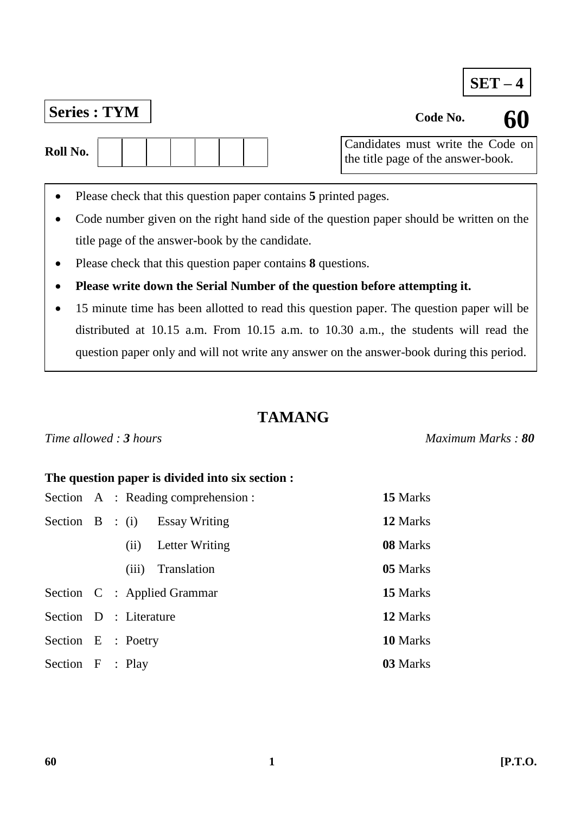## **SET – 4**

## **Series : TYM Code No. Code No.**

| Roll No. |  |  |  |  |
|----------|--|--|--|--|
|          |  |  |  |  |

 $\overline{1}$ Candidates must write the Code on the title page of the answer-book.

- Please check that this question paper contains **5** printed pages.
- Code number given on the right hand side of the question paper should be written on the title page of the answer-book by the candidate.
- Please check that this question paper contains **8** questions.
- **Please write down the Serial Number of the question before attempting it.**
- 15 minute time has been allotted to read this question paper. The question paper will be distributed at 10.15 a.m. From 10.15 a.m. to 10.30 a.m., the students will read the question paper only and will not write any answer on the answer-book during this period.

## **TAMANG**

### *Time allowed : 3 hours Maximum Marks : 80*

### **The question paper is divided into six section :**

|                        |  |       | Section A : Reading comprehension : | 15 Marks |
|------------------------|--|-------|-------------------------------------|----------|
|                        |  |       | Section $B : (i)$ Essay Writing     | 12 Marks |
|                        |  | (ii)  | Letter Writing                      | 08 Marks |
|                        |  | (iii) | Translation                         | 05 Marks |
|                        |  |       | Section C : Applied Grammar         | 15 Marks |
| Section D : Literature |  |       |                                     | 12 Marks |
| Section E : Poetry     |  |       |                                     | 10 Marks |
| Section F : Play       |  |       |                                     | 03 Marks |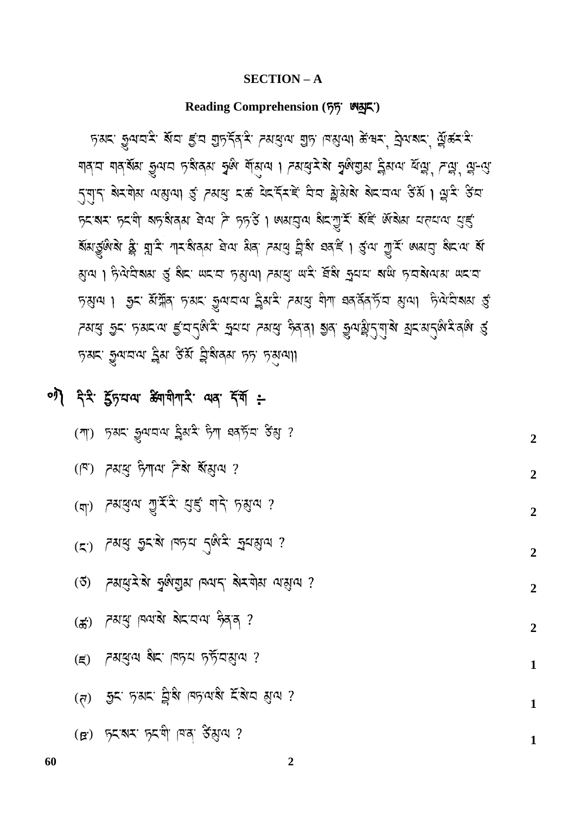#### **SECTION – A**

### **Reading Comprehension ( )**

रेश्वर सैनायडू ब्राय इेट ग्रेस्ट्रेड प्रतालेज ग्रेस ब्राय कुकर से प्रताय के स्वया নাৰ্'ন নাৰ্'ৰ্ষম ভ্ৰুম'ন দ'ৰ্ষৰ্ম স্বৃজ শীৰ্মুন । সমস্ত্ৰ'ৰ স্বৃজম্ভ্ৰম হ্ৰিম'ন শ্ৰমু', সম্ভ্ৰ', শ্ল'-ন্ত্ৰ' र्ने बोटे में अप्रमाश पानीला के प्रवास राष्ट्र इस्ट्रेन के साथ प्रोड़ के बाद से बाद कर के बाद से स प्रश्रम प्रयो बाद बिया ने प्रदेश । अयसुत्य बेट गुर्म बॅन्डे अबेया यत्याय युद्द ब्राश्रुल्य के प्रांत. बोट अर्था के पाल कर किया के बाद के बाद के साथ क थिज । ट्रेज़र्टाञ्चा डी झूट. लटांटा से शिजा प्रशासी लाइ. सुझा से से से से से से से लाइ लाया कराया 2 अज्ञात । ख़ैद अंग्रें किया से अप्रता के अन्य कार्य बना कर के अत्री के प्राप्त क्षया \স্মৰ্দ্ৰ গ্ৰুম দস্মৰে ই:বৰ্ণ্ট্ৰম্ব, শ্ৰুম্ব ১পৰ ভূৰৰা গ্ৰন্থ গ্ৰুমন্ট্ৰ(ন্যায় স্নম্ৰন্থ, প্ৰকাৰ প हेश्वर कुलवल ट्वैश द्वेश ट्वैश्ववेश हे हेश्वेली

0) देन्दे हुँद्रपत्य अगमीगारे यद देवाँ :-

|                    | (गा) ह़यद कुलवल ड्रैयदे हेना बबड़ेंव डेंशु ?                                                                                                                                                                                                                                                                            | $\overline{2}$ |
|--------------------|-------------------------------------------------------------------------------------------------------------------------------------------------------------------------------------------------------------------------------------------------------------------------------------------------------------------------|----------------|
|                    | (19) বমন্ত্ৰ দিশৰ বিষ্ণা ?                                                                                                                                                                                                                                                                                              | $\overline{2}$ |
|                    | (या) प्रथसेज ग्री रू. नार मार श्री वा ?                                                                                                                                                                                                                                                                                 | $\overline{2}$ |
|                    | (८.) प्रश्रे शेर था जिले रेख्यू सेतथील :                                                                                                                                                                                                                                                                                | $\overline{2}$ |
|                    | (3) त्यायुरेके कुर्कगुरा पितान बेरणेश वासुवा ?                                                                                                                                                                                                                                                                          | $\overline{2}$ |
|                    | (क) त्यसु विवास सेटवय हेन्न ?                                                                                                                                                                                                                                                                                           | $\overline{2}$ |
| $(\boldsymbol{z})$ | ১ ১ বি. (বৰ্ট এই বিষ্যা                                                                                                                                                                                                                                                                                                 | $\mathbf{1}$   |
| (5)                | হিন দখন ট্ৰিয় দিদক্ষ হৈয়ব য়ুন ?                                                                                                                                                                                                                                                                                      | $\mathbf{1}$   |
|                    | $(B)$ $\frac{1}{2}$ $\frac{1}{2}$ $\frac{1}{2}$ $\frac{1}{2}$ $\frac{1}{2}$ $\frac{1}{2}$ $\frac{1}{2}$ $\frac{1}{2}$ $\frac{1}{2}$ $\frac{1}{2}$ $\frac{1}{2}$ $\frac{1}{2}$ $\frac{1}{2}$ $\frac{1}{2}$ $\frac{1}{2}$ $\frac{1}{2}$ $\frac{1}{2}$ $\frac{1}{2}$ $\frac{1}{2}$ $\frac{1}{2}$ $\frac{1}{2}$ $\frac{1}{$ |                |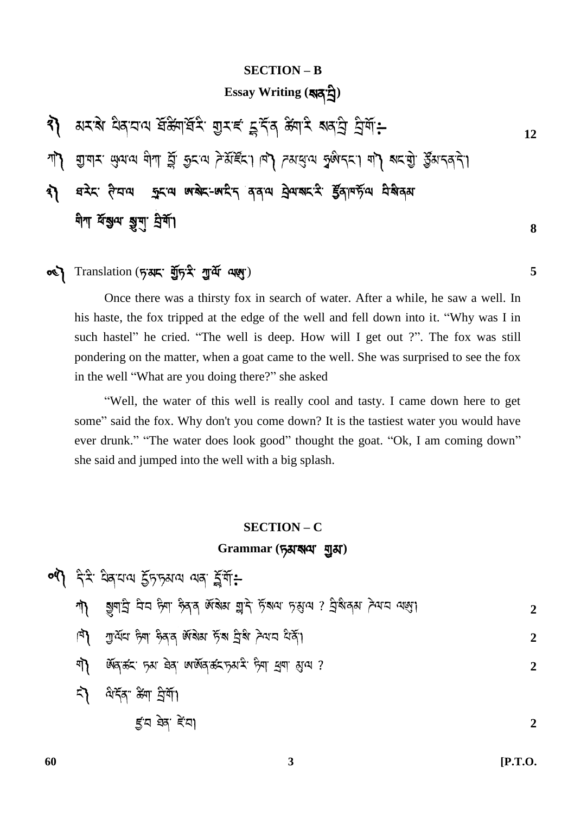### **SECTION – B**

## **Essay Writing ( )**

र) अरबे विवादाय संक्ष्मार्सरे गुराई टूर्देव क्ष्मारे बाबारी प्रेमी:-**12** الخليج التي الله التي الله المعام الله المعالم المعالم المعالم الله الله الله الله الله عليه الله الم ষস্থা দিমা স্থানে জয়া কৰিব পৰা প্ৰতিষ্ঠা বিদ্যালয়ৰ বিষ্ণা \*门 মীশ শ্ৰম্ভূঅ মুখ ব্ৰশী **8**

## **0 )** Translation (5 अ) में पुरुष के प्रारंभ (1945) के साथ प्रशासक के साथ प्रशासक के बाद प्रशासक के बाद प्रशासक

Once there was a thirsty fox in search of water. After a while, he saw a well. In his haste, the fox tripped at the edge of the well and fell down into it. "Why was I in such hastel" he cried. "The well is deep. How will I get out ?". The fox was still pondering on the matter, when a goat came to the well. She was surprised to see the fox in the well "What are you doing there?" she asked

"Well, the water of this well is really cool and tasty. I came down here to get some" said the fox. Why don't you come down? It is the tastiest water you would have ever drunk." "The water does look good" thought the goat. "Ok, I am coming down" she said and jumped into the well with a big splash.

#### **SECTION – C**

### **Grammar ( )**

04) देने वेबयाय फुँकुक्रमय यक फूर्ण:-

|  |  |  |  |  | وَالْكُمُونَ ﴾ [الله: 6] अर्थायुं द्वारा केवल लेखर और सुने पुरान करने केवल केवल केवल केवल केवल केवल |  |  |
|--|--|--|--|--|-----------------------------------------------------------------------------------------------------|--|--|
|  |  |  |  |  |                                                                                                     |  |  |

- है। गुल्रांच हेना हेन अधिय हें या देखा गया है
- गी अवक्र क्रा बेब अर्अवक्राकर क्या सुना सुत्य ?
- 5) बेर्देन क्ष्म प्रेमा 52 ਬੇਕ ਵੇਂਧ। **2**

**60 3 [P.T.O.**

**2**

**2**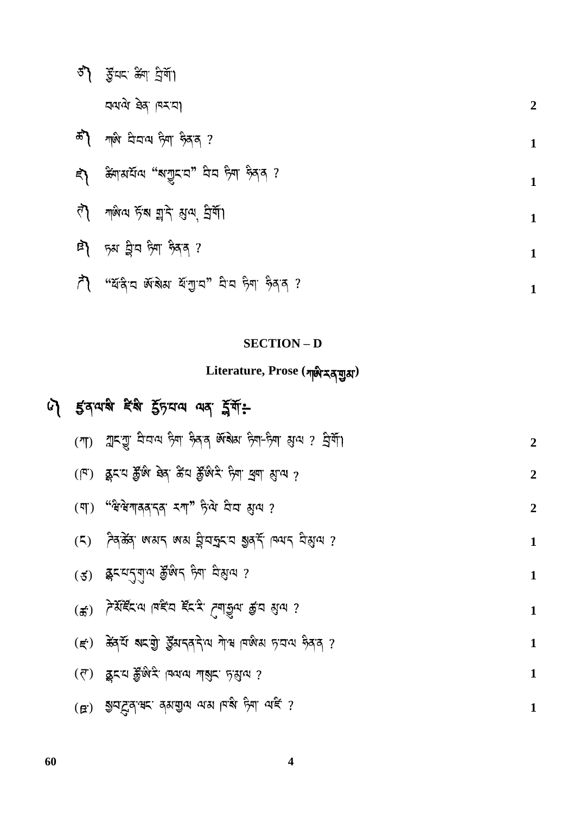| ठी     | द्भैदाद क्षेण ट्रेगो।                      |                  |
|--------|--------------------------------------------|------------------|
|        | וְהֹאוּ הָא הָמוֹ                          | $\boldsymbol{2}$ |
| ಹೆಗ್ಗಿ | শাণ ঘেনা দিশ দিবৰ ?                        | $\mathbf{1}$     |
| ξ,     | ঞ্চুনামর্য়ন্ম "মাশ্রুবার" ঘিন দিশ দ্বির ? |                  |
| ₹े     | শঞ্জিন্ম দ্বাঁষ য়ুাই ম্যুন্ম, ট্রর্শী।    | $\mathbf{1}$     |
| 卧      | ড়ম ট্ৰ'ন দিশ দ্বিব ?                      | 1                |

|  | $\tilde{\mathcal{F}}$ । "यहिन अधिय येंगुन" मैन हैना हैदन ? |  |  |  |  |  |  |
|--|------------------------------------------------------------|--|--|--|--|--|--|
|--|------------------------------------------------------------|--|--|--|--|--|--|

### **SECTION – D**

## **Literature, Prose ( )**

# 4 इत्यासे देसे हें प्रयाय या र्यूगें:

| $(\mathcal{T})$              | ন্মহন্মু হাত্ৰাঝ দ্বীন দ্বীৰ জীৱীয় দিশ-দিশ থ্ৰাঝ ? ব্ৰিৰ্শী  | $\overline{2}$ |
|------------------------------|---------------------------------------------------------------|----------------|
| $(\mathbb{F})$               | बूदय कुँख बेब केंव कुँखेर ज़ेग बुग सुख ?                      | $\overline{2}$ |
| $(\overline{q})$             | "'सेसेगाववादवा रगा" हेले घेघ झुल ?                            | $\overline{2}$ |
| (5)                          | ্দুৰ্গুৰু নেপ্ৰাৰ্থ নেতা টুত্ৰাইছত ইপ্ৰুট্ল চিতাৰ দুপ্ৰীক্ষ ১ | $\mathbf{1}$   |
| (3)                          | ष्ट्रेदय्तृगुत्व क्रुूक्षदं स्र्याः द्रश्रुत्व ?              | $\mathbf{1}$   |
| $\left( \frac{1}{2} \right)$ |                                                               | $\mathbf 1$    |
| $(\vec{\epsilon})$           | ক্কিয় সাহায়ী ষ্ট্ৰমানৰ বিধে মাৰ বিজয় প্ৰথম ভূৰৰ ?          | $\mathbf{1}$   |
| $(\vec{r})$                  | ছিদ্র ষ্ট্রুদ্ধের্স: বিবানা নারীর: দ্রিয়ানা ?                | $\mathbf 1$    |
|                              | (B.) 25 LE d. at a dailed at the gall ong 5                   |                |